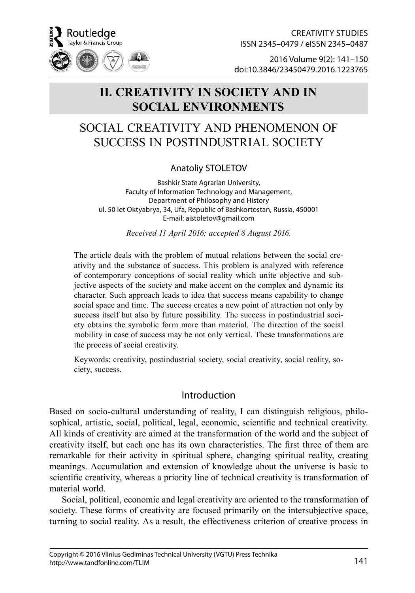

CREATIVITY STUDIES ISSN 2345–0479 / eISSN 2345–0487

2016 Volume 9(2): 141–150 <doi:10.3846/23450479.2016.1223765>

# **II. CREATIVITY IN SOCIETY AND IN SOCIAL ENVIRONMENTS**

# SOCIAL CREATIVITY AND PHENOMENON OF SUCCESS IN POSTINDUSTRIAL SOCIETY

## Anatoliy STOLETOV

Bashkir State Agrarian University, Faculty of Information Technology and Management, Department of Philosophy and History ul. 50 let Oktyabrya, 34, Ufa, Republic of Bashkortostan, Russia, 450001 E-mail: [aistoletov@gmail.com](mailto:aistoletov@gmail.com)

*Received 11 April 2016; accepted 8 August 2016.*

The article deals with the problem of [mutual relations](http://www.multitran.ru/c/m.exe?t=226063_1_2&s1=%E2%E7%E0%E8%EC%EE%EE%F2%ED%EE%F8%E5%ED%E8%FF) between the social creativity and the substance of success. This problem is analyzed with reference of contemporary conceptions of social reality which unite objective and subjective aspects of the society and make accent on the complex and dynamic its character. Such approach leads to idea that success means capability to change social space and time. The success creates a new point of attraction not only by success itself but also by future possibility. The success in postindustrial society obtains the symbolic form more than material. The direction of the social mobility in case of success may be not only vertical. These transformations are the process of social creativity.

Keywords: creativity, postindustrial society, social creativity, social reality, society, success.

### **Introduction**

Based on socio-cultural understanding of reality, I can distinguish religious, philosophical, artistic, social, political, legal, economic, scientific and technical creativity. All kinds of creativity are aimed at the transformation of the world and the subject of creativity itself, but each one has its own characteristics. The first three of them are remarkable for their activity in spiritual sphere, changing spiritual reality, creating meanings. Accumulation and extension of knowledge about the universe is basic to scientific creativity, whereas a priority line of technical creativity is transformation of material world.

Social, political, economic and legal creativity are oriented to the transformation of society. These forms of creativity are focused primarily on the intersubjective space, turning to social reality. As a result, the effectiveness criterion of creative process in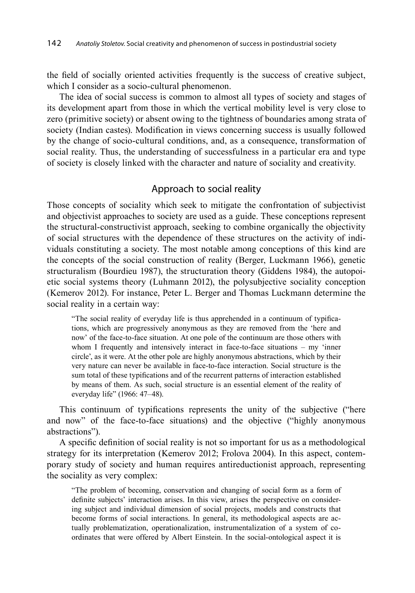the field of socially oriented activities frequently is the success of creative subject, which I consider as a socio-cultural phenomenon.

The idea of social success is common to almost all types of society and stages of its development apart from those in which the vertical mobility level is very close to zero (primitive society) or absent owing to the tightness of boundaries among strata of society (Indian castes). Modification in views concerning success is usually followed by the change of socio-cultural conditions, and, as a consequence, transformation of social reality. Thus, the understanding of successfulness in a particular era and type of society is closely linked with the character and nature of sociality and creativity.

### Approach to social reality

Those concepts of sociality which seek to mitigate the confrontation of subjectivist and objectivist approaches to society are used as a guide. These conceptions represent the structural-constructivist approach, seeking to combine organically the objectivity of social structures with the dependence of these structures on the activity of individuals constituting a society. The most notable among conceptions of this kind are the concepts of the social construction of reality (Berger, Luckmann 1966), genetic structuralism (Bourdieu 1987), the structuration theory (Giddens 1984), the autopoietic social systems theory (Luhmann 2012), the polysubjective sociality conception (Kemerov 2012). For instance, Peter L. Berger and Thomas Luckmann determine the social reality in a certain way:

"The social reality of everyday life is thus apprehended in a continuum of typifications, which are progressively anonymous as they are removed from the 'here and now' of the face-to-face situation. At one pole of the continuum are those others with whom I frequently and intensively interact in face-to-face situations – my 'inner circle', as it were. At the other pole are highly anonymous abstractions, which by their very nature can never be available in face-to-face interaction. Social structure is the sum total of these typifications and of the recurrent patterns of interaction established by means of them. As such, social structure is an essential element of the reality of everyday life" (1966: 47–48).

This continuum of typifications represents the unity of the subjective ("here and now" of the face-to-face situations) and the objective ("highly anonymous abstractions").

A specific definition of social reality is not so important for us as a methodological strategy for its interpretation (Kemerov 2012; Frolova 2004). In this aspect, contemporary study of society and human requires antireductionist approach, representing the sociality as very complex:

"The problem of becoming, conservation and changing of social form as a form of definite subjects' interaction arises. In this view, arises the perspective on considering subject and individual dimension of social projects, models and constructs that become forms of social interactions. In general, its methodological aspects are actually problematization, operationalization, instrumentalization of a system of coordinates that were offered by Albert Einstein. In the social-ontological aspect it is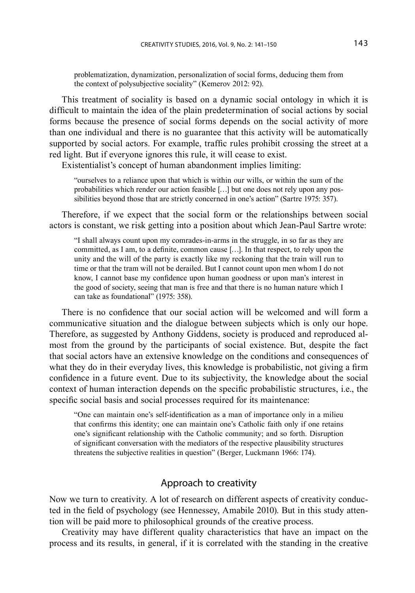problematization, dynamization, personalization of social forms, deducing them from the context of polysubjective sociality" (Kemerov 2012: 92).

This treatment of sociality is based on a dynamic social ontology in which it is difficult to maintain the idea of the plain predetermination of social actions by social forms because the presence of social forms depends on the social activity of more than one individual and there is no guarantee that this activity will be automatically supported by social actors. For example, traffic rules prohibit crossing the street at a red light. But if everyone ignores this rule, it will cease to exist.

Existentialist's concept of human abandonment implies limiting:

"ourselves to a reliance upon that which is within our wills, or within the sum of the probabilities which render our action feasible […] but one does not rely upon any possibilities beyond those that are strictly concerned in one's action" (Sartre 1975: 357).

Therefore, if we expect that the social form or the relationships between social actors is constant, we risk getting into a position about which Jean-Paul Sartre wrote:

"I shall always count upon my comrades-in-arms in the struggle, in so far as they are committed, as I am, to a definite, common cause […]. In that respect, to rely upon the unity and the will of the party is exactly like my reckoning that the train will run to time or that the tram will not be derailed. But I cannot count upon men whom I do not know, I cannot base my confidence upon human goodness or upon man's interest in the good of society, seeing that man is free and that there is no human nature which I can take as foundational" (1975: 358).

There is no confidence that our social action will be welcomed and will form a communicative situation and the dialogue between subjects which is only our hope. Therefore, as suggested by Anthony Giddens, society is produced and reproduced almost from the ground by the participants of social existence. But, despite the fact that social actors have an extensive knowledge on the conditions and consequences of what they do in their everyday lives, this knowledge is probabilistic, not giving a firm confidence in a future event. Due to its subjectivity, the knowledge about the social context of human interaction depends on the specific probabilistic structures, i.e., the specific social basis and social processes required for its maintenance:

"One can maintain one's self-identification as a man of importance only in a milieu that confirms this identity; one can maintain one's Catholic faith only if one retains one's significant relationship with the Catholic community; and so forth. Disruption of significant conversation with the mediators of the respective plausibility structures threatens the subjective realities in question" (Berger, Luckmann 1966: 174).

### Approach to creativity

Now we turn to creativity. A lot of research on different aspects of creativity conducted in the field of psychology (see Hennessey, Amabile 2010). But in this study attention will be paid more to philosophical grounds of the creative process.

Creativity may have different quality characteristics that have an impact on the process and its results, in general, if it is correlated with the standing in the creative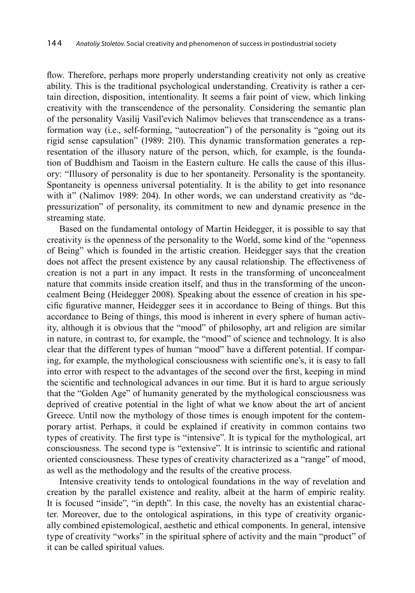flow. Therefore, perhaps more properly understanding creativity not only as creative ability. This is the traditional psychological understanding. Creativity is rather a certain direction, disposition, intentionality. It seems a fair point of view, which linking creativity with the transcendence of the personality. Considering the semantic plan of the personality Vasilij Vasil'evich Nalimov believes that transcendence as a transformation way (i.e., self-forming, "autocreation") of the personality is "going out its rigid sense capsulation" (1989: 210). This dynamic transformation generates a representation of the illusory nature of the person, which, for example, is the foundation of Buddhism and Taoism in the Eastern culture. He calls the cause of this illusory: "Illusory of personality is due to her spontaneity. Personality is the spontaneity. Spontaneity is openness universal potentiality. It is the ability to get into resonance with it" (Nalimov 1989: 204). In other words, we can understand creativity as "depressurization" of personality, its commitment to new and dynamic presence in the streaming state.

Based on the fundamental ontology of Martin Heidegger, it is possible to say that creativity is the openness of the personality to the World, some kind of the "openness of Being" which is founded in the artistic creation. Heidegger says that the creation does not affect the present existence by any causal relationship. The effectiveness of creation is not a part in any impact. It rests in the transforming of unconcealment nature that commits inside creation itself, and thus in the transforming of the unconcealment Being (Heidegger 2008). Speaking about the essence of creation in his specific figurative manner, Heidegger sees it in accordance to Being of things. But this accordance to Being of things, this mood is inherent in every sphere of human activity, although it is obvious that the "mood" of philosophy, art and religion are similar in nature, in contrast to, for example, the "mood" of science and technology. It is also clear that the different types of human "mood" have a different potential. If comparing, for example, the mythological consciousness with scientific one's, it is easy to fall into error with respect to the advantages of the second over the first, keeping in mind the scientific and technological advances in our time. But it is hard to argue seriously that the "Golden Age" of humanity generated by the mythological consciousness was deprived of creative potential in the light of what we know about the art of ancient Greece. Until now the mythology of those times is enough impotent for the contemporary artist. Perhaps, it could be explained if creativity in common contains two types of creativity. The first type is "intensive". It is typical for the mythological, art consciousness. The second type is "extensive". It is intrinsic to scientific and rational oriented consciousness. These types of creativity characterized as a "range" of mood, as well as the methodology and the results of the creative process.

Intensive creativity tends to ontological foundations in the way of revelation and creation by the parallel existence and reality, albeit at the harm of empiric reality. It is focused "inside", "in depth". In this case, the novelty has an existential character. Moreover, due to the ontological aspirations, in this type of creativity organically combined epistemological, aesthetic and ethical components. In general, intensive type of creativity "works" in the spiritual sphere of activity and the main "product" of it can be called spiritual values.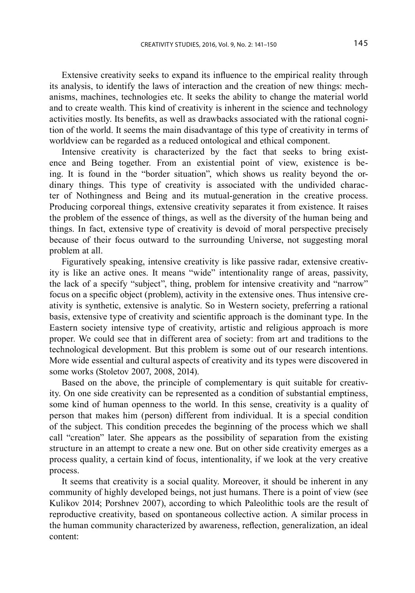Extensive creativity seeks to expand its influence to the empirical reality through its analysis, to identify the laws of interaction and the creation of new things: mechanisms, machines, technologies etc. It seeks the ability to change the material world and to create wealth. This kind of creativity is inherent in the science and technology activities mostly. Its benefits, as well as drawbacks associated with the rational cognition of the world. It seems the main disadvantage of this type of creativity in terms of worldview can be regarded as a reduced ontological and ethical component.

Intensive creativity is characterized by the fact that seeks to bring existence and Being together. From an existential point of view, existence is being. It is found in the "border situation", which shows us reality beyond the ordinary things. This type of creativity is associated with the undivided character of Nothingness and Being and its mutual-generation in the creative process. Producing corporeal things, extensive creativity separates it from existence. It raises the problem of the essence of things, as well as the diversity of the human being and things. In fact, extensive type of creativity is devoid of moral perspective precisely because of their focus outward to the surrounding Universe, not suggesting moral problem at all.

Figuratively speaking, intensive creativity is like passive radar, extensive creativity is like an active ones. It means "wide" intentionality range of areas, passivity, the lack of a specify "subject", thing, problem for intensive creativity and "narrow" focus on a specific object (problem), activity in the extensive ones. Thus intensive creativity is synthetic, extensive is analytic. So in Western society, preferring a rational basis, extensive type of creativity and scientific approach is the dominant type. In the Eastern society intensive type of creativity, artistic and religious approach is more proper. We could see that in different area of society: from art and traditions to the technological development. But this problem is some out of our research intentions. More wide essential and cultural aspects of creativity and its types were discovered in some works (Stoletov 2007, 2008, 2014).

Based on the above, the principle of complementary is quit suitable for creativity. On one side creativity can be represented as a condition of substantial emptiness, some kind of human openness to the world. In this sense, creativity is a quality of person that makes him (person) different from individual. It is a special condition of the subject. This condition precedes the beginning of the process which we shall call "creation" later. She appears as the possibility of separation from the existing structure in an attempt to create a new one. But on other side creativity emerges as a process quality, a certain kind of focus, intentionality, if we look at the very creative process.

It seems that creativity is a social quality. Moreover, it should be inherent in any community of highly developed beings, not just humans. There is a point of view (see Kulikov 2014; Porshnev 2007), according to which Paleolithic tools are the result of reproductive creativity, based on spontaneous collective action. A similar process in the human community characterized by awareness, reflection, generalization, an ideal content: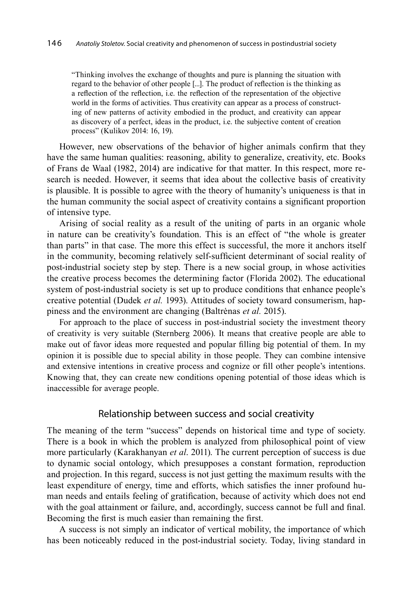"Thinking involves the exchange of thoughts and pure is planning the situation with regard to the behavior of other people [...]. The product of reflection is the thinking as a reflection of the reflection, i.e. the reflection of the representation of the objective world in the forms of activities. Thus creativity can appear as a process of constructing of new patterns of activity embodied in the product, and creativity can appear as discovery of a perfect, ideas in the product, i.e. the subjective content of creation process" (Kulikov 2014: 16, 19).

However, new observations of the behavior of higher animals confirm that they have the same human qualities: reasoning, ability to generalize, creativity, etc. Books of Frans de Waal (1982, 2014) are indicative for that matter. In this respect, more research is needed. However, it seems that idea about the collective basis of creativity is plausible. It is possible to agree with the theory of humanity's uniqueness is that in the human community the social aspect of creativity contains a significant proportion of intensive type.

Arising of social reality as a result of the uniting of parts in an organic whole in nature can be creativity's foundation. This is an effect of "the whole is greater than parts" in that case. The more this effect is successful, the more it anchors itself in the community, becoming relatively self-sufficient determinant of social reality of post-industrial society step by step. There is a new social group, in whose activities the creative process becomes the determining factor (Florida 2002). The educational system of post-industrial society is set up to produce conditions that enhance people's creative potential (Dudek *et al.* 1993). Attitudes of society toward consumerism, happiness and the environment are changing (Baltrėnas *et al.* 2015).

For approach to the place of success in post-industrial society the investment theory of creativity is very suitable (Sternberg 2006). It means that creative people are able to make out of favor ideas more requested and popular filling big potential of them. In my opinion it is possible due to special ability in those people. They can combine intensive and extensive intentions in creative process and cognize or fill other people's intentions. Knowing that, they can create new conditions opening potential of those ideas which is inaccessible for average people.

#### Relationship between success and social creativity

The meaning of the term "success" depends on historical time and type of society. There is a book in which the problem is analyzed from philosophical point of view more particularly (Karakhanyan *et al*. 2011). The current perception of success is due to dynamic social ontology, which presupposes a constant formation, reproduction and projection. In this regard, success is not just getting the maximum results with the least expenditure of energy, time and efforts, which satisfies the inner profound human needs and entails feeling of gratification, because of activity which does not end with the goal attainment or failure, and, accordingly, success cannot be full and final. Becoming the first is much easier than remaining the first.

A success is not simply an indicator of vertical mobility, the importance of which has been noticeably reduced in the post-industrial society. Today, living standard in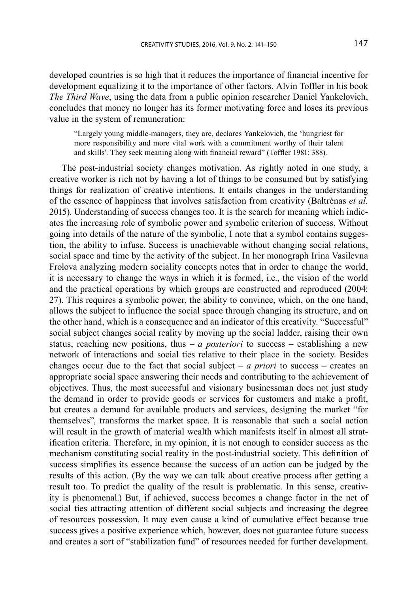developed countries is so high that it reduces the importance of financial incentive for development equalizing it to the importance of other factors. Alvin Toffler in his book *The Third Wave*, using the data from a public opinion researcher Daniel Yankelovich, concludes that money no longer has its former motivating force and loses its previous value in the system of remuneration:

"Largely young middle-managers, they are, declares Yankelovich, the 'hungriest for more responsibility and more vital work with a commitment worthy of their talent and skills'. They seek meaning along with financial reward" (Toffler 1981: 388).

The post-industrial society changes motivation. As rightly noted in one study, a creative worker is rich not by having a lot of things to be consumed but by satisfying things for realization of creative intentions. It entails changes in the understanding of the essence of happiness that involves satisfaction from creativity (Baltrėnas *et al.* 2015). Understanding of success changes too. It is the search for meaning which indicates the increasing role of symbolic power and symbolic criterion of success. Without going into details of the nature of the symbolic, I note that a symbol contains suggestion, the ability to infuse. Success is unachievable without changing social relations, social space and time by the activity of the subject. In her monograph Irina Vasilevna Frolova analyzing modern sociality concepts notes that in order to change the world, it is necessary to change the ways in which it is formed, i.e., the vision of the world and the practical operations by which groups are constructed and reproduced (2004: 27). This requires a symbolic power, the ability to convince, which, on the one hand, allows the subject to influence the social space through changing its structure, and on the other hand, which is a consequence and an indicator of this creativity. "Successful" social subject changes social reality by moving up the social ladder, raising their own status, reaching new positions, thus  $- a$  *posteriori* to success  $-$  establishing a new network of interactions and social ties relative to their place in the society. Besides changes occur due to the fact that social subject – *a priori* to success – creates an appropriate social space answering their needs and contributing to the achievement of objectives. Thus, the most successful and visionary businessman does not just study the demand in order to provide goods or services for customers and make a profit, but creates a demand for available products and services, designing the market "for themselves", transforms the market space. It is reasonable that such a social action will result in the growth of material wealth which manifests itself in almost all stratification criteria. Therefore, in my opinion, it is not enough to consider success as the mechanism constituting social reality in the post-industrial society. This definition of success simplifies its essence because the success of an action can be judged by the results of this action. (By the way we can talk about creative process after getting a result too. To predict the quality of the result is problematic. In this sense, creativity is phenomenal.) But, if achieved, success becomes a change factor in the net of social ties attracting attention of different social subjects and increasing the degree of resources possession. It may even cause a kind of cumulative effect because true success gives a positive experience which, however, does not guarantee future success and creates a sort of "stabilization fund" of resources needed for further development.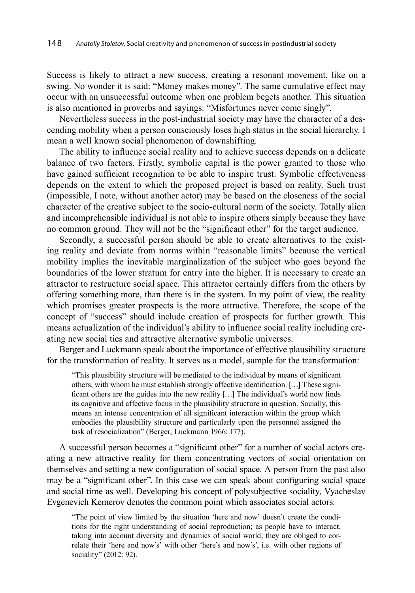Success is likely to attract a new success, creating a resonant movement, like on a swing. No wonder it is said: "Money makes money". The same cumulative effect may occur with an unsuccessful outcome when one problem begets another. This situation is also mentioned in proverbs and sayings: "Misfortunes never come singly".

Nevertheless success in the post-industrial society may have the character of a descending mobility when a person consciously loses high status in the social hierarchy. I mean a well known social phenomenon of downshifting.

The ability to influence social reality and to achieve success depends on a delicate balance of two factors. Firstly, symbolic capital is the power granted to those who have gained sufficient recognition to be able to inspire trust. Symbolic effectiveness depends on the extent to which the proposed project is based on reality. Such trust (impossible, I note, without another actor) may be based on the closeness of the social character of the creative subject to the socio-cultural norm of the society. Totally alien and incomprehensible individual is not able to inspire others simply because they have no common ground. They will not be the "significant other" for the target audience.

Secondly, a successful person should be able to create alternatives to the existing reality and deviate from norms within "reasonable limits" because the vertical mobility implies the inevitable marginalization of the subject who goes beyond the boundaries of the lower stratum for entry into the higher. It is necessary to create an attractor to restructure social space. This attractor certainly differs from the others by offering something more, than there is in the system. In my point of view, the reality which promises greater prospects is the more attractive. Therefore, the scope of the concept of "success" should include creation of prospects for further growth. This means actualization of the individual's ability to influence social reality including creating new social ties and attractive alternative symbolic universes.

Berger and Luckmann speak about the importance of effective plausibility structure for the transformation of reality. It serves as a model, sample for the transformation:

"This plausibility structure will be mediated to the individual by means of significant others, with whom he must establish strongly affective identification. […] These significant others are the guides into the new reality […] The individual's world now finds its cognitive and affective focus in the plausibility structure in question. Socially, this means an intense concentration of all significant interaction within the group which embodies the plausibility structure and particularly upon the personnel assigned the task of resocialization" (Berger, Luckmann 1966: 177).

A successful person becomes a "significant other" for a number of social actors creating a new attractive reality for them concentrating vectors of social orientation on themselves and setting a new configuration of social space. A person from the past also may be a "significant other". In this case we can speak about configuring social space and social time as well. Developing his concept of polysubjective sociality, Vyacheslav Evgenevich Kemerov denotes the common point which associates social actors:

"The point of view limited by the situation 'here and now' doesn't create the conditions for the right understanding of social reproduction; as people have to interact, taking into account diversity and dynamics of social world, they are obliged to correlate their 'here and now's' with other 'here's and now's', i.e. with other regions of sociality" (2012: 92).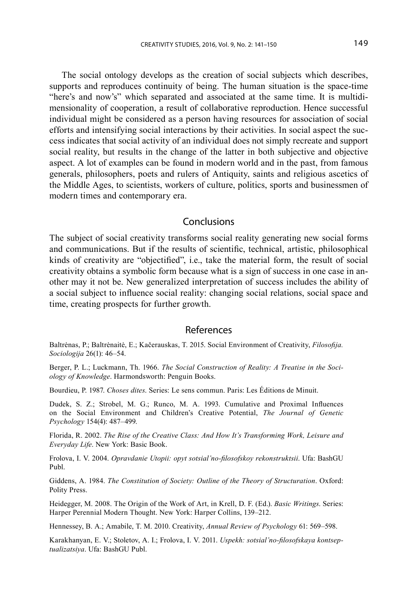The social ontology develops as the creation of social subjects which describes, supports and reproduces continuity of being. The human situation is the space-time "here's and now's" which separated and associated at the same time. It is multidimensionality of cooperation, a result of collaborative reproduction. Hence successful individual might be considered as a person having resources for association of social efforts and intensifying social interactions by their activities. In social aspect the success indicates that social activity of an individual does not simply recreate and support social reality, but results in the change of the latter in both subjective and objective aspect. A lot of examples can be found in modern world and in the past, from famous generals, philosophers, poets and rulers of Antiquity, saints and religious ascetics of the Middle Ages, to scientists, workers of culture, politics, sports and businessmen of modern times and contemporary era.

#### Conclusions

The subject of social creativity transforms social reality generating new social forms and communications. But if the results of scientific, technical, artistic, philosophical kinds of creativity are "objectified", i.e., take the material form, the result of social creativity obtains a symbolic form because what is a sign of success in one case in another may it not be. New generalized interpretation of success includes the ability of a social subject to influence social reality: changing social relations, social space and time, creating prospects for further growth.

#### References

Baltrėnas, P.; Baltrėnaitė, E.; Kačerauskas, T. 2015. Social Environment of Creativity, *Filosofija. Sociologija* 26(1): 46–54.

Berger, P. L.; Luckmann, Th. 1966. *The Social Construction of Reality: A Treatise in the Sociology of Knowledge*. Harmondsworth: Penguin Books.

Bourdieu, P. 1987. *Choses dites*. Series: Le sens commun. Paris: Les Éditions de Minuit.

Dudek, S. Z.; Strobel, M. G.; Runco, M. A. 1993. Cumulative and Proximal Influences on the Social Environment and Children's Creative Potential, *The Journal of Genetic Psychology* 154(4): 487–499.

Florida, R. 2002. *The Rise of the Creative Class: And How It's Transforming Work, Leisure and Everyday Life*. New York: Basic Book.

Frolova, I. V. 2004. *Opravdanie Utopii: opyt sotsial'no-filosofskoy rekonstruktsii*. Ufa: BashGU Publ.

Giddens, A. 1984. *The Constitution of Society: Outline of the Theory of Structuration*. Oxford: Polity Press.

Heidegger, M. 2008. The Origin of the Work of Art, in Krell, D. F. (Ed.). *Basic Writings*. Series: Harper Perennial Modern Thought. New York: Harper Collins, 139–212.

Hennessey, B. A.; Amabile, T. M. 2010. Creativity, *Annual Review of Psychology* 61: 569–598.

Karakhanyan, E. V.; Stoletov, A. I.; Frolova, I. V. 2011. *Uspekh: sotsial'no-filosofskaya kontseptualizatsiya*. Ufa: BashGU Publ.